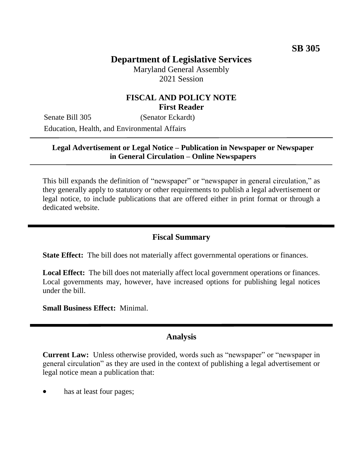# **Department of Legislative Services**

Maryland General Assembly 2021 Session

#### **FISCAL AND POLICY NOTE First Reader**

Senate Bill 305 (Senator Eckardt) Education, Health, and Environmental Affairs

#### **Legal Advertisement or Legal Notice – Publication in Newspaper or Newspaper in General Circulation – Online Newspapers**

This bill expands the definition of "newspaper" or "newspaper in general circulation," as they generally apply to statutory or other requirements to publish a legal advertisement or legal notice, to include publications that are offered either in print format or through a dedicated website.

#### **Fiscal Summary**

**State Effect:** The bill does not materially affect governmental operations or finances.

**Local Effect:** The bill does not materially affect local government operations or finances. Local governments may, however, have increased options for publishing legal notices under the bill.

**Small Business Effect:** Minimal.

### **Analysis**

**Current Law:** Unless otherwise provided, words such as "newspaper" or "newspaper in general circulation" as they are used in the context of publishing a legal advertisement or legal notice mean a publication that:

has at least four pages;